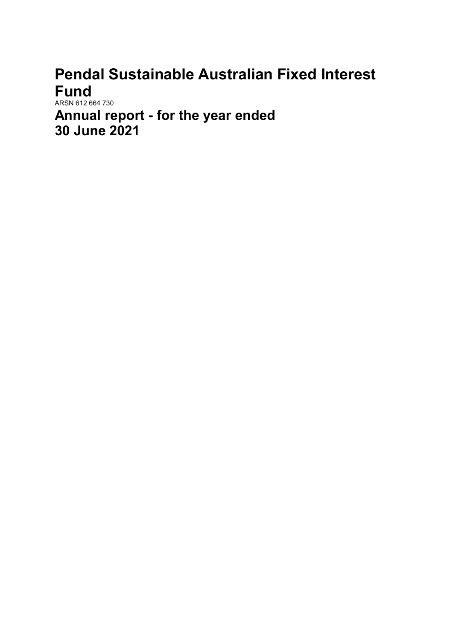# Pendal Sustainable Australian Fixed Interest Fund

ARSN 612 664 730 Annual report - for the year ended 30 June 2021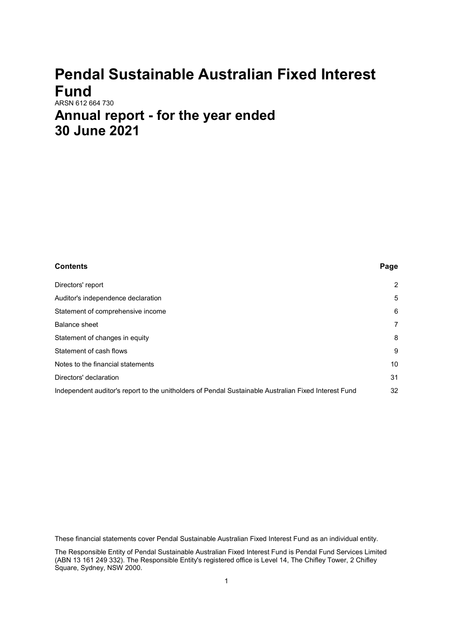# Pendal Sustainable Australian Fixed Interest Fund

## ARSN 612 664 730 Annual report - for the year ended 30 June 2021

| Contents                                                                                             | Page           |
|------------------------------------------------------------------------------------------------------|----------------|
| Directors' report                                                                                    | $\overline{2}$ |
| Auditor's independence declaration                                                                   | 5              |
| Statement of comprehensive income                                                                    | 6              |
| Balance sheet                                                                                        | 7              |
| Statement of changes in equity                                                                       | 8              |
| Statement of cash flows                                                                              | 9              |
| Notes to the financial statements                                                                    | 10             |
| Directors' declaration                                                                               | 31             |
| Independent auditor's report to the unitholders of Pendal Sustainable Australian Fixed Interest Fund | 32             |

These financial statements cover Pendal Sustainable Australian Fixed Interest Fund as an individual entity.

The Responsible Entity of Pendal Sustainable Australian Fixed Interest Fund is Pendal Fund Services Limited (ABN 13 161 249 332). The Responsible Entity's registered office is Level 14, The Chifley Tower, 2 Chifley Square, Sydney, NSW 2000.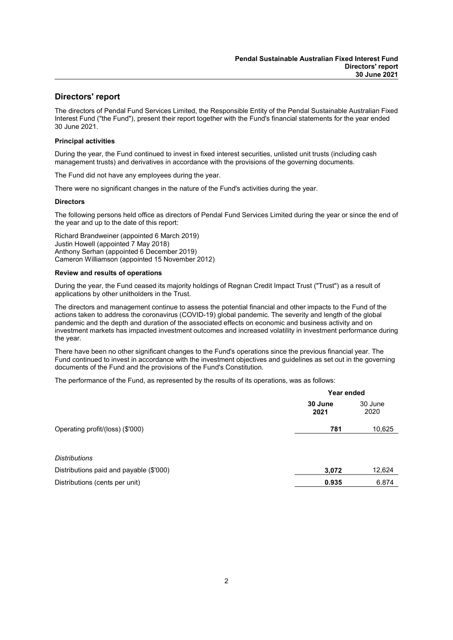### Directors' report

The directors of Pendal Fund Services Limited, the Responsible Entity of the Pendal Sustainable Australian Fixed Interest Fund ("the Fund"), present their report together with the Fund's financial statements for the year ended 30 June 2021.

### Principal activities

During the year, the Fund continued to invest in fixed interest securities, unlisted unit trusts (including cash management trusts) and derivatives in accordance with the provisions of the governing documents.

The Fund did not have any employees during the year.

There were no significant changes in the nature of the Fund's activities during the year.

#### **Directors**

The following persons held office as directors of Pendal Fund Services Limited during the year or since the end of the year and up to the date of this report:

Richard Brandweiner (appointed 6 March 2019) Justin Howell (appointed 7 May 2018) Anthony Serhan (appointed 6 December 2019) Cameron Williamson (appointed 15 November 2012)

#### Review and results of operations

During the year, the Fund ceased its majority holdings of Regnan Credit Impact Trust ("Trust") as a result of applications by other unitholders in the Trust.

The directors and management continue to assess the potential financial and other impacts to the Fund of the actions taken to address the coronavirus (COVID-19) global pandemic. The severity and length of the global pandemic and the depth and duration of the associated effects on economic and business activity and on investment markets has impacted investment outcomes and increased volatility in investment performance during the year.

There have been no other significant changes to the Fund's operations since the previous financial year. The Fund continued to invest in accordance with the investment objectives and guidelines as set out in the governing documents of the Fund and the provisions of the Fund's Constitution.

The performance of the Fund, as represented by the results of its operations, was as follows:

|                                         | Year ended      |                 |
|-----------------------------------------|-----------------|-----------------|
|                                         | 30 June<br>2021 | 30 June<br>2020 |
| Operating profit/(loss) (\$'000)        | 781             | 10,625          |
|                                         |                 |                 |
| <b>Distributions</b>                    |                 |                 |
| Distributions paid and payable (\$'000) | 3,072           | 12,624          |
| Distributions (cents per unit)          | 0.935           | 6.874           |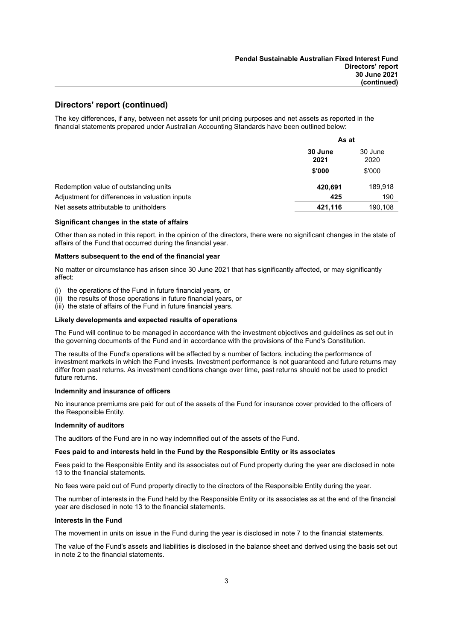### Directors' report (continued)

The key differences, if any, between net assets for unit pricing purposes and net assets as reported in the financial statements prepared under Australian Accounting Standards have been outlined below:

|                                                | As at                              |         |
|------------------------------------------------|------------------------------------|---------|
|                                                | 30 June<br>30 June<br>2020<br>2021 |         |
|                                                | \$'000                             | \$'000  |
| Redemption value of outstanding units          | 420,691                            | 189,918 |
| Adjustment for differences in valuation inputs | 425                                | 190     |
| Net assets attributable to unitholders         | 421,116                            | 190,108 |

### Significant changes in the state of affairs

Other than as noted in this report, in the opinion of the directors, there were no significant changes in the state of affairs of the Fund that occurred during the financial year.

#### Matters subsequent to the end of the financial year

No matter or circumstance has arisen since 30 June 2021 that has significantly affected, or may significantly affect:

- (i) the operations of the Fund in future financial years, or
- (ii) the results of those operations in future financial years, or
- (iii) the state of affairs of the Fund in future financial years.

#### Likely developments and expected results of operations

The Fund will continue to be managed in accordance with the investment objectives and guidelines as set out in the governing documents of the Fund and in accordance with the provisions of the Fund's Constitution.

The results of the Fund's operations will be affected by a number of factors, including the performance of investment markets in which the Fund invests. Investment performance is not guaranteed and future returns may differ from past returns. As investment conditions change over time, past returns should not be used to predict future returns.

#### Indemnity and insurance of officers

No insurance premiums are paid for out of the assets of the Fund for insurance cover provided to the officers of the Responsible Entity.

#### Indemnity of auditors

The auditors of the Fund are in no way indemnified out of the assets of the Fund.

#### Fees paid to and interests held in the Fund by the Responsible Entity or its associates

Fees paid to the Responsible Entity and its associates out of Fund property during the year are disclosed in note 13 to the financial statements.

No fees were paid out of Fund property directly to the directors of the Responsible Entity during the year.

The number of interests in the Fund held by the Responsible Entity or its associates as at the end of the financial year are disclosed in note 13 to the financial statements.

#### Interests in the Fund

The movement in units on issue in the Fund during the year is disclosed in note 7 to the financial statements.

The value of the Fund's assets and liabilities is disclosed in the balance sheet and derived using the basis set out in note 2 to the financial statements.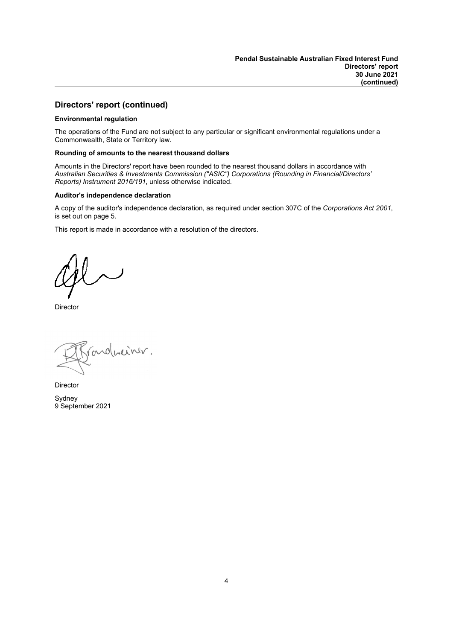### Directors' report (continued)

### Environmental regulation

The operations of the Fund are not subject to any particular or significant environmental regulations under a Commonwealth, State or Territory law.

### Rounding of amounts to the nearest thousand dollars

Amounts in the Directors' report have been rounded to the nearest thousand dollars in accordance with Australian Securities & Investments Commission ("ASIC") Corporations (Rounding in Financial/Directors' Reports) Instrument 2016/191, unless otherwise indicated.

### Auditor's independence declaration

A copy of the auditor's independence declaration, as required under section 307C of the Corporations Act 2001, is set out on page 5.

This report is made in accordance with a resolution of the directors.

**Director** 

parduciner.

Director

Sydney 9 September 2021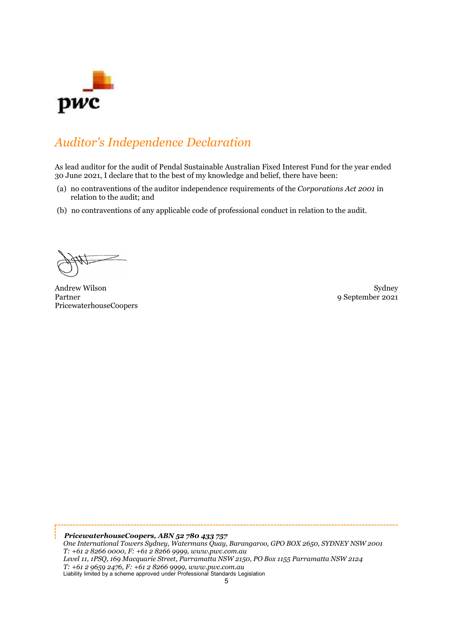

## Auditor's Independence Declaration

As lead auditor for the audit of Pendal Sustainable Australian Fixed Interest Fund for the year ended 30 June 2021, I declare that to the best of my knowledge and belief, there have been:

- (a) no contraventions of the auditor independence requirements of the Corporations Act 2001 in relation to the audit; and
- (b) no contraventions of any applicable code of professional conduct in relation to the audit.

Andrew Wilson Sydney<br>Partner of September 2021 PricewaterhouseCoopers

9 September 2021

PricewaterhouseCoopers, ABN 52 780 433 757 One International Towers Sydney, Watermans Quay, Barangaroo, GPO BOX 2650, SYDNEY NSW 2001 T: +61 2 8266 0000, F: +61 2 8266 9999, www.pwc.com.au Level 11, 1PSQ, 169 Macquarie Street, Parramatta NSW 2150, PO Box 1155 Parramatta NSW 2124 T: +61 2 9659 2476, F: +61 2 8266 9999, www.pwc.com.au Liability limited by a scheme approved under Professional Standards Legislation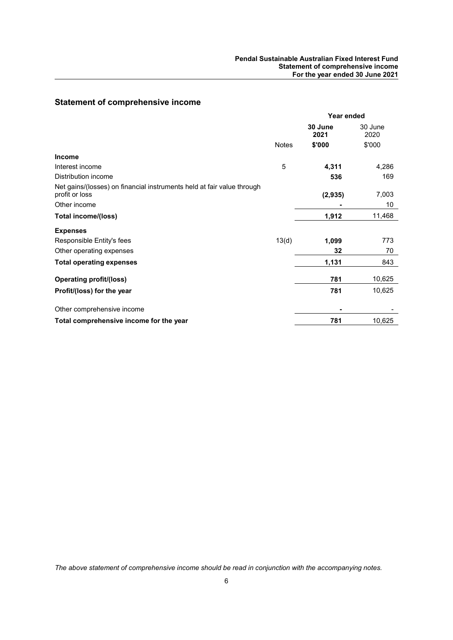### Pendal Sustainable Australian Fixed Interest Fund Statement of comprehensive income For the year ended 30 June 2021

### Statement of comprehensive income

|                                                                                          | Year ended   |                 |                 |
|------------------------------------------------------------------------------------------|--------------|-----------------|-----------------|
|                                                                                          |              | 30 June<br>2021 | 30 June<br>2020 |
|                                                                                          | <b>Notes</b> | \$'000          | \$'000          |
| <b>Income</b>                                                                            |              |                 |                 |
| Interest income                                                                          | 5            | 4,311           | 4,286           |
| Distribution income                                                                      |              | 536             | 169             |
| Net gains/(losses) on financial instruments held at fair value through<br>profit or loss |              | (2, 935)        | 7,003           |
| Other income                                                                             |              |                 | 10              |
| <b>Total income/(loss)</b>                                                               |              | 1,912           | 11,468          |
| <b>Expenses</b>                                                                          |              |                 |                 |
| Responsible Entity's fees                                                                | 13(d)        | 1,099           | 773             |
| Other operating expenses                                                                 |              | 32              | 70              |
| <b>Total operating expenses</b>                                                          |              | 1,131           | 843             |
| <b>Operating profit/(loss)</b>                                                           |              | 781             | 10,625          |
| Profit/(loss) for the year                                                               |              | 781             | 10,625          |
| Other comprehensive income                                                               |              |                 |                 |
| Total comprehensive income for the year                                                  |              | 781             | 10,625          |

The above statement of comprehensive income should be read in conjunction with the accompanying notes.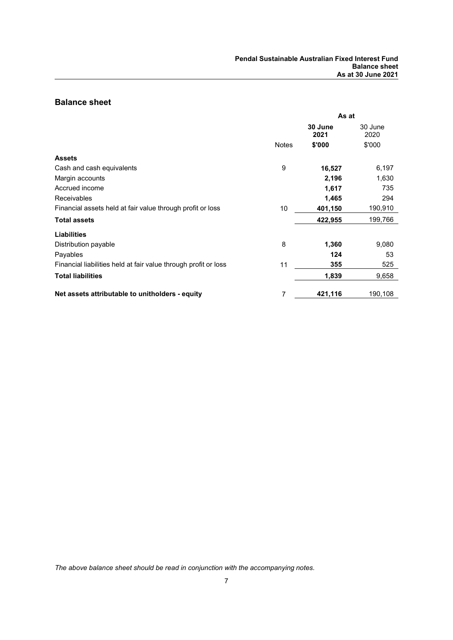### Balance sheet

|                                                                 | As at        |                 |                 |
|-----------------------------------------------------------------|--------------|-----------------|-----------------|
|                                                                 |              | 30 June<br>2021 | 30 June<br>2020 |
|                                                                 | <b>Notes</b> | \$'000          | \$'000          |
| <b>Assets</b>                                                   |              |                 |                 |
| Cash and cash equivalents                                       | 9            | 16,527          | 6,197           |
| Margin accounts                                                 |              | 2,196           | 1,630           |
| Accrued income                                                  |              | 1,617           | 735             |
| <b>Receivables</b>                                              |              | 1,465           | 294             |
| Financial assets held at fair value through profit or loss      | 10           | 401,150         | 190,910         |
| <b>Total assets</b>                                             |              | 422,955         | 199,766         |
| <b>Liabilities</b>                                              |              |                 |                 |
| Distribution payable                                            | 8            | 1,360           | 9,080           |
| Payables                                                        |              | 124             | 53              |
| Financial liabilities held at fair value through profit or loss | 11           | 355             | 525             |
| <b>Total liabilities</b>                                        |              | 1,839           | 9,658           |
| Net assets attributable to unitholders - equity                 | 7            | 421,116         | 190,108         |

The above balance sheet should be read in conjunction with the accompanying notes.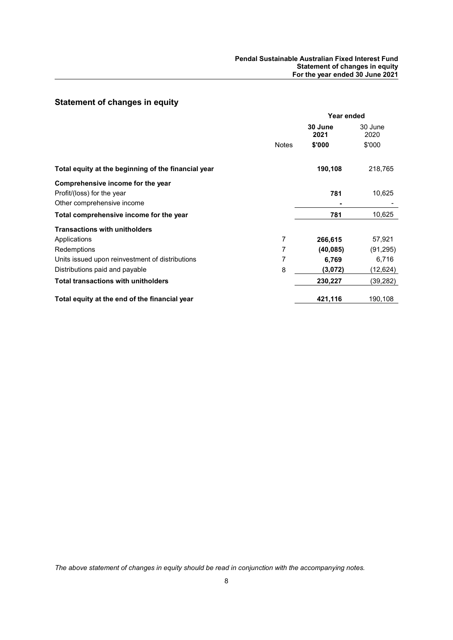### Statement of changes in equity

|                                                     | Year ended   |                 |                 |
|-----------------------------------------------------|--------------|-----------------|-----------------|
|                                                     |              | 30 June<br>2021 | 30 June<br>2020 |
|                                                     | <b>Notes</b> | \$'000          | \$'000          |
| Total equity at the beginning of the financial year |              | 190,108         | 218,765         |
| Comprehensive income for the year                   |              |                 |                 |
| Profit/(loss) for the year                          |              | 781             | 10,625          |
| Other comprehensive income                          |              |                 |                 |
| Total comprehensive income for the year             |              | 781             | 10,625          |
| <b>Transactions with unitholders</b>                |              |                 |                 |
| Applications                                        | 7            | 266,615         | 57,921          |
| Redemptions                                         | 7            | (40, 085)       | (91, 295)       |
| Units issued upon reinvestment of distributions     | 7            | 6,769           | 6,716           |
| Distributions paid and payable                      | 8            | (3,072)         | (12,624)        |
| <b>Total transactions with unitholders</b>          |              | 230,227         | (39, 282)       |
| Total equity at the end of the financial year       |              | 421,116         | 190,108         |

The above statement of changes in equity should be read in conjunction with the accompanying notes.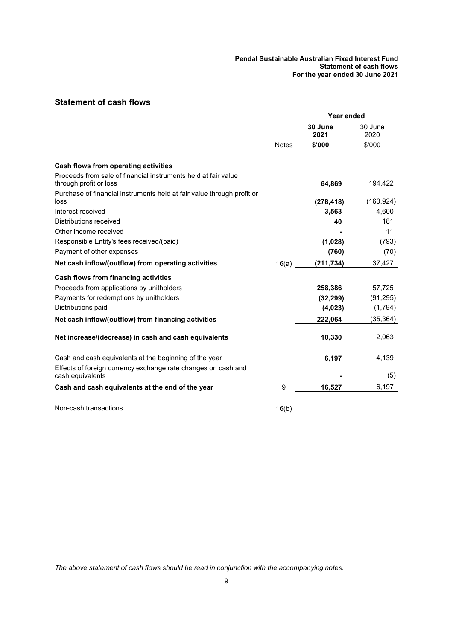### Statement of cash flows

|                                                                                          | Year ended   |                 |                 |
|------------------------------------------------------------------------------------------|--------------|-----------------|-----------------|
|                                                                                          |              | 30 June<br>2021 | 30 June<br>2020 |
|                                                                                          | <b>Notes</b> | \$'000          | \$'000          |
| Cash flows from operating activities                                                     |              |                 |                 |
| Proceeds from sale of financial instruments held at fair value<br>through profit or loss |              | 64,869          | 194,422         |
| Purchase of financial instruments held at fair value through profit or<br>loss           |              | (278, 418)      | (160, 924)      |
| Interest received                                                                        |              | 3,563           | 4,600           |
| Distributions received                                                                   |              | 40              | 181             |
| Other income received                                                                    |              |                 | 11              |
| Responsible Entity's fees received/(paid)                                                |              | (1,028)         | (793)           |
| Payment of other expenses                                                                |              | (760)           | (70)            |
| Net cash inflow/(outflow) from operating activities                                      | 16(a)        | (211, 734)      | 37,427          |
| Cash flows from financing activities                                                     |              |                 |                 |
| Proceeds from applications by unitholders                                                |              | 258,386         | 57,725          |
| Payments for redemptions by unitholders                                                  |              | (32, 299)       | (91, 295)       |
| Distributions paid                                                                       |              | (4, 023)        | (1, 794)        |
| Net cash inflow/(outflow) from financing activities                                      |              | 222,064         | (35, 364)       |
| Net increase/(decrease) in cash and cash equivalents                                     |              | 10,330          | 2,063           |
| Cash and cash equivalents at the beginning of the year                                   |              | 6,197           | 4,139           |
| Effects of foreign currency exchange rate changes on cash and<br>cash equivalents        |              |                 | (5)             |
| Cash and cash equivalents at the end of the year                                         | 9            | 16,527          | 6,197           |
| Non-cash transactions                                                                    | 16(b)        |                 |                 |

The above statement of cash flows should be read in conjunction with the accompanying notes.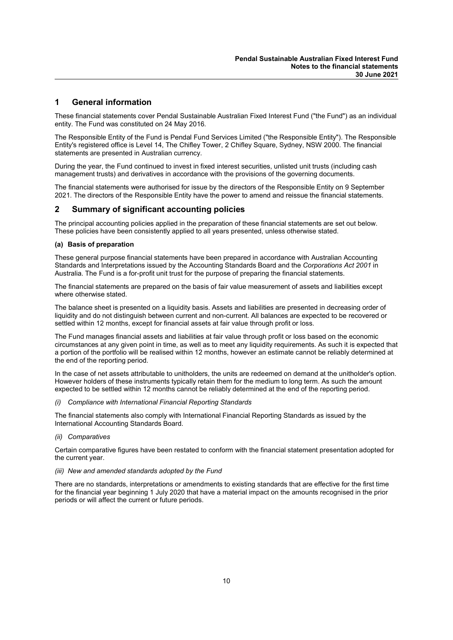### 1 General information

These financial statements cover Pendal Sustainable Australian Fixed Interest Fund ("the Fund") as an individual entity. The Fund was constituted on 24 May 2016.

The Responsible Entity of the Fund is Pendal Fund Services Limited ("the Responsible Entity"). The Responsible Entity's registered office is Level 14, The Chifley Tower, 2 Chifley Square, Sydney, NSW 2000. The financial statements are presented in Australian currency.

During the year, the Fund continued to invest in fixed interest securities, unlisted unit trusts (including cash management trusts) and derivatives in accordance with the provisions of the governing documents.

The financial statements were authorised for issue by the directors of the Responsible Entity on 9 September 2021. The directors of the Responsible Entity have the power to amend and reissue the financial statements.

### 2 Summary of significant accounting policies

The principal accounting policies applied in the preparation of these financial statements are set out below. These policies have been consistently applied to all years presented, unless otherwise stated.

#### (a) Basis of preparation

These general purpose financial statements have been prepared in accordance with Australian Accounting Standards and Interpretations issued by the Accounting Standards Board and the Corporations Act 2001 in Australia. The Fund is a for-profit unit trust for the purpose of preparing the financial statements.

The financial statements are prepared on the basis of fair value measurement of assets and liabilities except where otherwise stated.

The balance sheet is presented on a liquidity basis. Assets and liabilities are presented in decreasing order of liquidity and do not distinguish between current and non-current. All balances are expected to be recovered or settled within 12 months, except for financial assets at fair value through profit or loss.

The Fund manages financial assets and liabilities at fair value through profit or loss based on the economic circumstances at any given point in time, as well as to meet any liquidity requirements. As such it is expected that a portion of the portfolio will be realised within 12 months, however an estimate cannot be reliably determined at the end of the reporting period.

In the case of net assets attributable to unitholders, the units are redeemed on demand at the unitholder's option. However holders of these instruments typically retain them for the medium to long term. As such the amount expected to be settled within 12 months cannot be reliably determined at the end of the reporting period.

(i) Compliance with International Financial Reporting Standards

The financial statements also comply with International Financial Reporting Standards as issued by the International Accounting Standards Board.

(ii) Comparatives

Certain comparative figures have been restated to conform with the financial statement presentation adopted for the current year.

#### (iii) New and amended standards adopted by the Fund

There are no standards, interpretations or amendments to existing standards that are effective for the first time for the financial year beginning 1 July 2020 that have a material impact on the amounts recognised in the prior periods or will affect the current or future periods.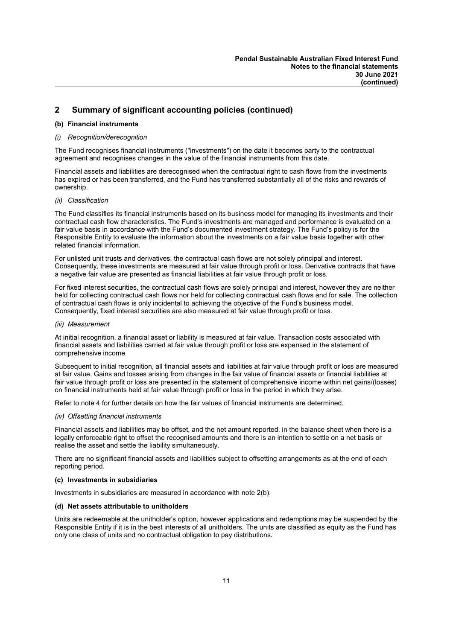### (b) Financial instruments

### (i) Recognition/derecognition

The Fund recognises financial instruments ("investments") on the date it becomes party to the contractual agreement and recognises changes in the value of the financial instruments from this date.

Financial assets and liabilities are derecognised when the contractual right to cash flows from the investments has expired or has been transferred, and the Fund has transferred substantially all of the risks and rewards of ownership.

### (ii) Classification

The Fund classifies its financial instruments based on its business model for managing its investments and their contractual cash flow characteristics. The Fund's investments are managed and performance is evaluated on a fair value basis in accordance with the Fund's documented investment strategy. The Fund's policy is for the Responsible Entity to evaluate the information about the investments on a fair value basis together with other related financial information.

For unlisted unit trusts and derivatives, the contractual cash flows are not solely principal and interest. Consequently, these investments are measured at fair value through profit or loss. Derivative contracts that have a negative fair value are presented as financial liabilities at fair value through profit or loss.

For fixed interest securities, the contractual cash flows are solely principal and interest, however they are neither held for collecting contractual cash flows nor held for collecting contractual cash flows and for sale. The collection of contractual cash flows is only incidental to achieving the objective of the Fund's business model. Consequently, fixed interest securities are also measured at fair value through profit or loss.

#### (iii) Measurement

At initial recognition, a financial asset or liability is measured at fair value. Transaction costs associated with financial assets and liabilities carried at fair value through profit or loss are expensed in the statement of comprehensive income.

Subsequent to initial recognition, all financial assets and liabilities at fair value through profit or loss are measured at fair value. Gains and losses arising from changes in the fair value of financial assets or financial liabilities at fair value through profit or loss are presented in the statement of comprehensive income within net gains/(losses) on financial instruments held at fair value through profit or loss in the period in which they arise.

Refer to note 4 for further details on how the fair values of financial instruments are determined.

### (iv) Offsetting financial instruments

Financial assets and liabilities may be offset, and the net amount reported, in the balance sheet when there is a legally enforceable right to offset the recognised amounts and there is an intention to settle on a net basis or realise the asset and settle the liability simultaneously.

There are no significant financial assets and liabilities subject to offsetting arrangements as at the end of each reporting period.

#### (c) Investments in subsidiaries

Investments in subsidiaries are measured in accordance with note 2(b).

### (d) Net assets attributable to unitholders

Units are redeemable at the unitholder's option, however applications and redemptions may be suspended by the Responsible Entity if it is in the best interests of all unitholders. The units are classified as equity as the Fund has only one class of units and no contractual obligation to pay distributions.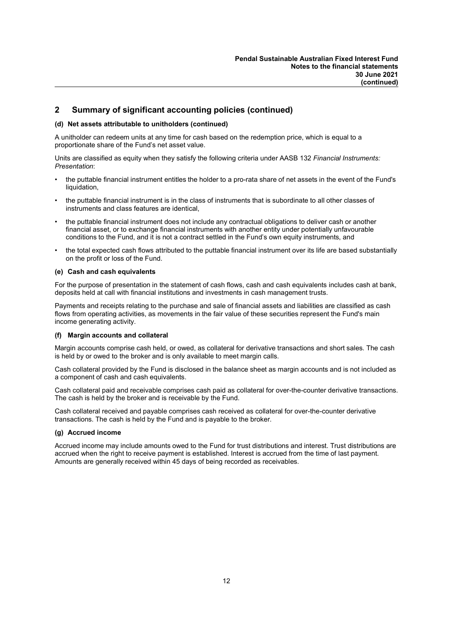### (d) Net assets attributable to unitholders (continued)

A unitholder can redeem units at any time for cash based on the redemption price, which is equal to a proportionate share of the Fund's net asset value.

Units are classified as equity when they satisfy the following criteria under AASB 132 Financial Instruments: Presentation:

- the puttable financial instrument entitles the holder to a pro-rata share of net assets in the event of the Fund's liquidation,
- the puttable financial instrument is in the class of instruments that is subordinate to all other classes of instruments and class features are identical,
- the puttable financial instrument does not include any contractual obligations to deliver cash or another financial asset, or to exchange financial instruments with another entity under potentially unfavourable conditions to the Fund, and it is not a contract settled in the Fund's own equity instruments, and
- the total expected cash flows attributed to the puttable financial instrument over its life are based substantially on the profit or loss of the Fund.

### (e) Cash and cash equivalents

For the purpose of presentation in the statement of cash flows, cash and cash equivalents includes cash at bank, deposits held at call with financial institutions and investments in cash management trusts.

Payments and receipts relating to the purchase and sale of financial assets and liabilities are classified as cash flows from operating activities, as movements in the fair value of these securities represent the Fund's main income generating activity.

### (f) Margin accounts and collateral

Margin accounts comprise cash held, or owed, as collateral for derivative transactions and short sales. The cash is held by or owed to the broker and is only available to meet margin calls.

Cash collateral provided by the Fund is disclosed in the balance sheet as margin accounts and is not included as a component of cash and cash equivalents.

Cash collateral paid and receivable comprises cash paid as collateral for over-the-counter derivative transactions. The cash is held by the broker and is receivable by the Fund.

Cash collateral received and payable comprises cash received as collateral for over-the-counter derivative transactions. The cash is held by the Fund and is payable to the broker.

### (g) Accrued income

Accrued income may include amounts owed to the Fund for trust distributions and interest. Trust distributions are accrued when the right to receive payment is established. Interest is accrued from the time of last payment. Amounts are generally received within 45 days of being recorded as receivables.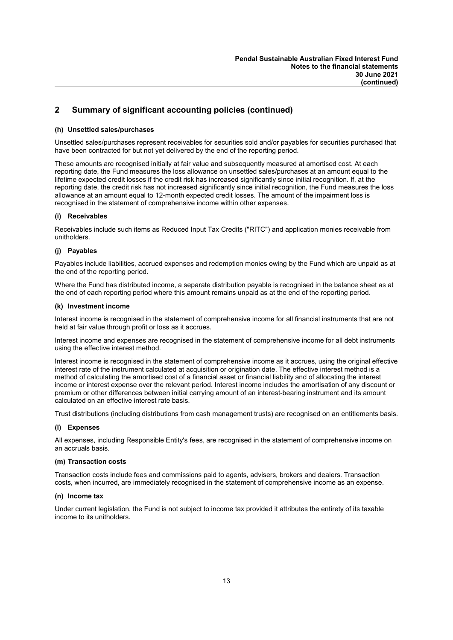### (h) Unsettled sales/purchases

Unsettled sales/purchases represent receivables for securities sold and/or payables for securities purchased that have been contracted for but not yet delivered by the end of the reporting period.

These amounts are recognised initially at fair value and subsequently measured at amortised cost. At each reporting date, the Fund measures the loss allowance on unsettled sales/purchases at an amount equal to the lifetime expected credit losses if the credit risk has increased significantly since initial recognition. If, at the reporting date, the credit risk has not increased significantly since initial recognition, the Fund measures the loss allowance at an amount equal to 12-month expected credit losses. The amount of the impairment loss is recognised in the statement of comprehensive income within other expenses.

### (i) Receivables

Receivables include such items as Reduced Input Tax Credits ("RITC") and application monies receivable from unitholders.

### (j) Payables

Payables include liabilities, accrued expenses and redemption monies owing by the Fund which are unpaid as at the end of the reporting period.

Where the Fund has distributed income, a separate distribution payable is recognised in the balance sheet as at the end of each reporting period where this amount remains unpaid as at the end of the reporting period.

### (k) Investment income

Interest income is recognised in the statement of comprehensive income for all financial instruments that are not held at fair value through profit or loss as it accrues.

Interest income and expenses are recognised in the statement of comprehensive income for all debt instruments using the effective interest method.

Interest income is recognised in the statement of comprehensive income as it accrues, using the original effective interest rate of the instrument calculated at acquisition or origination date. The effective interest method is a method of calculating the amortised cost of a financial asset or financial liability and of allocating the interest income or interest expense over the relevant period. Interest income includes the amortisation of any discount or premium or other differences between initial carrying amount of an interest-bearing instrument and its amount calculated on an effective interest rate basis.

Trust distributions (including distributions from cash management trusts) are recognised on an entitlements basis.

### (l) Expenses

All expenses, including Responsible Entity's fees, are recognised in the statement of comprehensive income on an accruals basis.

### (m) Transaction costs

Transaction costs include fees and commissions paid to agents, advisers, brokers and dealers. Transaction costs, when incurred, are immediately recognised in the statement of comprehensive income as an expense.

### (n) Income tax

Under current legislation, the Fund is not subject to income tax provided it attributes the entirety of its taxable income to its unitholders.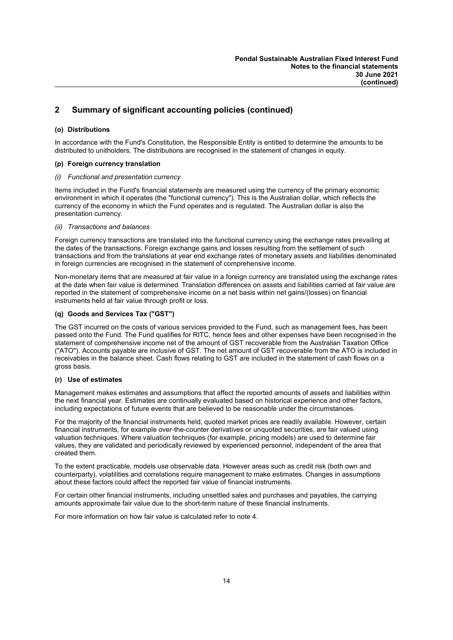### (o) Distributions

In accordance with the Fund's Constitution, the Responsible Entity is entitled to determine the amounts to be distributed to unitholders. The distributions are recognised in the statement of changes in equity.

### (p) Foreign currency translation

### Functional and presentation currency

Items included in the Fund's financial statements are measured using the currency of the primary economic environment in which it operates (the "functional currency"). This is the Australian dollar, which reflects the currency of the economy in which the Fund operates and is regulated. The Australian dollar is also the presentation currency.

### (ii) Transactions and balances

Foreign currency transactions are translated into the functional currency using the exchange rates prevailing at the dates of the transactions. Foreign exchange gains and losses resulting from the settlement of such transactions and from the translations at year end exchange rates of monetary assets and liabilities denominated in foreign currencies are recognised in the statement of comprehensive income.

Non-monetary items that are measured at fair value in a foreign currency are translated using the exchange rates at the date when fair value is determined. Translation differences on assets and liabilities carried at fair value are reported in the statement of comprehensive income on a net basis within net gains/(losses) on financial instruments held at fair value through profit or loss.

### (q) Goods and Services Tax ("GST")

The GST incurred on the costs of various services provided to the Fund, such as management fees, has been passed onto the Fund. The Fund qualifies for RITC, hence fees and other expenses have been recognised in the statement of comprehensive income net of the amount of GST recoverable from the Australian Taxation Office ("ATO"). Accounts payable are inclusive of GST. The net amount of GST recoverable from the ATO is included in receivables in the balance sheet. Cash flows relating to GST are included in the statement of cash flows on a gross basis.

### (r) Use of estimates

Management makes estimates and assumptions that affect the reported amounts of assets and liabilities within the next financial year. Estimates are continually evaluated based on historical experience and other factors, including expectations of future events that are believed to be reasonable under the circumstances.

For the majority of the financial instruments held, quoted market prices are readily available. However, certain financial instruments, for example over-the-counter derivatives or unquoted securities, are fair valued using valuation techniques. Where valuation techniques (for example, pricing models) are used to determine fair values, they are validated and periodically reviewed by experienced personnel, independent of the area that created them.

To the extent practicable, models use observable data. However areas such as credit risk (both own and counterparty), volatilities and correlations require management to make estimates. Changes in assumptions about these factors could affect the reported fair value of financial instruments.

For certain other financial instruments, including unsettled sales and purchases and payables, the carrying amounts approximate fair value due to the short-term nature of these financial instruments.

For more information on how fair value is calculated refer to note 4.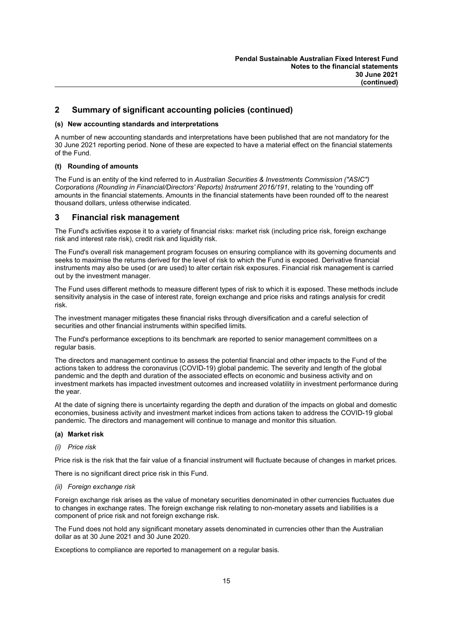### (s) New accounting standards and interpretations

A number of new accounting standards and interpretations have been published that are not mandatory for the 30 June 2021 reporting period. None of these are expected to have a material effect on the financial statements of the Fund.

### (t) Rounding of amounts

The Fund is an entity of the kind referred to in Australian Securities & Investments Commission ("ASIC") Corporations (Rounding in Financial/Directors' Reports) Instrument 2016/191, relating to the 'rounding off' amounts in the financial statements. Amounts in the financial statements have been rounded off to the nearest thousand dollars, unless otherwise indicated.

### 3 Financial risk management

The Fund's activities expose it to a variety of financial risks: market risk (including price risk, foreign exchange risk and interest rate risk), credit risk and liquidity risk.

The Fund's overall risk management program focuses on ensuring compliance with its governing documents and seeks to maximise the returns derived for the level of risk to which the Fund is exposed. Derivative financial instruments may also be used (or are used) to alter certain risk exposures. Financial risk management is carried out by the investment manager.

The Fund uses different methods to measure different types of risk to which it is exposed. These methods include sensitivity analysis in the case of interest rate, foreign exchange and price risks and ratings analysis for credit risk.

The investment manager mitigates these financial risks through diversification and a careful selection of securities and other financial instruments within specified limits.

The Fund's performance exceptions to its benchmark are reported to senior management committees on a regular basis.

The directors and management continue to assess the potential financial and other impacts to the Fund of the actions taken to address the coronavirus (COVID-19) global pandemic. The severity and length of the global pandemic and the depth and duration of the associated effects on economic and business activity and on investment markets has impacted investment outcomes and increased volatility in investment performance during the year.

At the date of signing there is uncertainty regarding the depth and duration of the impacts on global and domestic economies, business activity and investment market indices from actions taken to address the COVID-19 global pandemic. The directors and management will continue to manage and monitor this situation.

### (a) Market risk

### (i) Price risk

Price risk is the risk that the fair value of a financial instrument will fluctuate because of changes in market prices.

There is no significant direct price risk in this Fund.

(ii) Foreign exchange risk

Foreign exchange risk arises as the value of monetary securities denominated in other currencies fluctuates due to changes in exchange rates. The foreign exchange risk relating to non-monetary assets and liabilities is a component of price risk and not foreign exchange risk.

The Fund does not hold any significant monetary assets denominated in currencies other than the Australian dollar as at 30 June 2021 and 30 June 2020.

Exceptions to compliance are reported to management on a regular basis.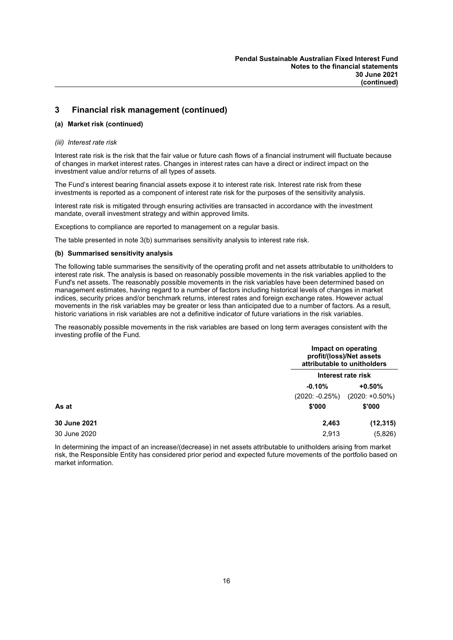### 3 Financial risk management (continued)

### (a) Market risk (continued)

#### (iii) Interest rate risk

Interest rate risk is the risk that the fair value or future cash flows of a financial instrument will fluctuate because of changes in market interest rates. Changes in interest rates can have a direct or indirect impact on the investment value and/or returns of all types of assets.

The Fund's interest bearing financial assets expose it to interest rate risk. Interest rate risk from these investments is reported as a component of interest rate risk for the purposes of the sensitivity analysis.

Interest rate risk is mitigated through ensuring activities are transacted in accordance with the investment mandate, overall investment strategy and within approved limits.

Exceptions to compliance are reported to management on a regular basis.

The table presented in note 3(b) summarises sensitivity analysis to interest rate risk.

#### (b) Summarised sensitivity analysis

The following table summarises the sensitivity of the operating profit and net assets attributable to unitholders to interest rate risk. The analysis is based on reasonably possible movements in the risk variables applied to the Fund's net assets. The reasonably possible movements in the risk variables have been determined based on management estimates, having regard to a number of factors including historical levels of changes in market indices, security prices and/or benchmark returns, interest rates and foreign exchange rates. However actual movements in the risk variables may be greater or less than anticipated due to a number of factors. As a result, historic variations in risk variables are not a definitive indicator of future variations in the risk variables.

The reasonably possible movements in the risk variables are based on long term averages consistent with the investing profile of the Fund.

|              |                  | Impact on operating<br>profit/(loss)/Net assets<br>attributable to unitholders |  |
|--------------|------------------|--------------------------------------------------------------------------------|--|
|              |                  | Interest rate risk                                                             |  |
|              | $-0.10%$         | $+0.50%$                                                                       |  |
|              | $(2020: -0.25%)$ | $(2020: +0.50\%)$                                                              |  |
| As at        | \$'000           | \$'000                                                                         |  |
| 30 June 2021 | 2,463            | (12, 315)                                                                      |  |
| 30 June 2020 | 2,913            | (5,826)                                                                        |  |

In determining the impact of an increase/(decrease) in net assets attributable to unitholders arising from market risk, the Responsible Entity has considered prior period and expected future movements of the portfolio based on market information.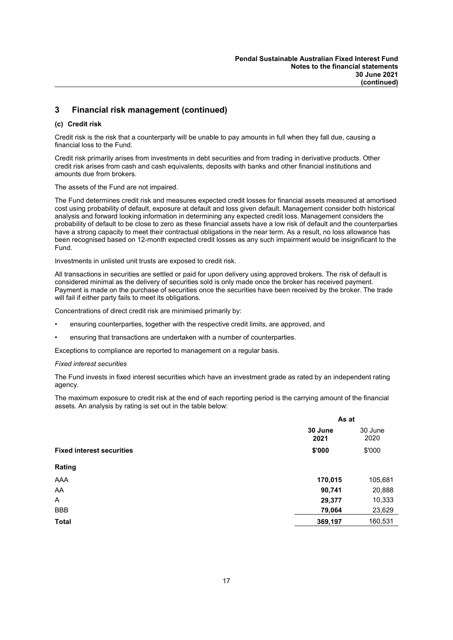### 3 Financial risk management (continued)

### (c) Credit risk

Credit risk is the risk that a counterparty will be unable to pay amounts in full when they fall due, causing a financial loss to the Fund.

Credit risk primarily arises from investments in debt securities and from trading in derivative products. Other credit risk arises from cash and cash equivalents, deposits with banks and other financial institutions and amounts due from brokers.

The assets of the Fund are not impaired.

The Fund determines credit risk and measures expected credit losses for financial assets measured at amortised cost using probability of default, exposure at default and loss given default. Management consider both historical analysis and forward looking information in determining any expected credit loss. Management considers the probability of default to be close to zero as these financial assets have a low risk of default and the counterparties have a strong capacity to meet their contractual obligations in the near term. As a result, no loss allowance has been recognised based on 12-month expected credit losses as any such impairment would be insignificant to the Fund.

Investments in unlisted unit trusts are exposed to credit risk.

All transactions in securities are settled or paid for upon delivery using approved brokers. The risk of default is considered minimal as the delivery of securities sold is only made once the broker has received payment. Payment is made on the purchase of securities once the securities have been received by the broker. The trade will fail if either party fails to meet its obligations.

Concentrations of direct credit risk are minimised primarily by:

- ensuring counterparties, together with the respective credit limits, are approved, and
- ensuring that transactions are undertaken with a number of counterparties.

Exceptions to compliance are reported to management on a regular basis.

### Fixed interest securities

The Fund invests in fixed interest securities which have an investment grade as rated by an independent rating agency.

The maximum exposure to credit risk at the end of each reporting period is the carrying amount of the financial assets. An analysis by rating is set out in the table below:

|                                  | As at           |                 |
|----------------------------------|-----------------|-----------------|
|                                  | 30 June<br>2021 | 30 June<br>2020 |
| <b>Fixed interest securities</b> | \$'000          | \$'000          |
| Rating                           |                 |                 |
| AAA                              | 170,015         | 105,681         |
| AA                               | 90,741          | 20,888          |
| A                                | 29,377          | 10,333          |
| <b>BBB</b>                       | 79,064          | 23,629          |
| <b>Total</b>                     | 369,197         | 160,531         |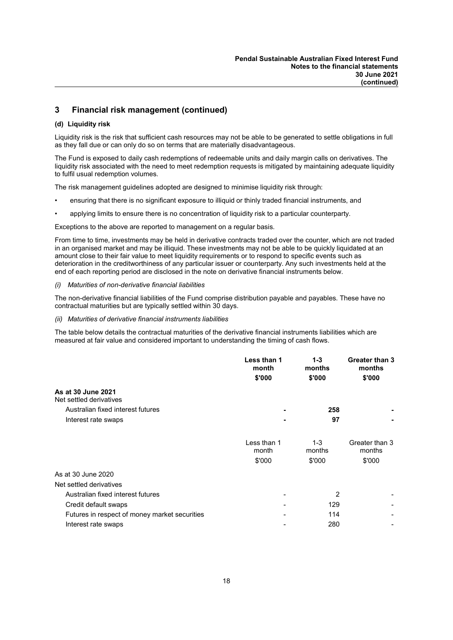### 3 Financial risk management (continued)

### (d) Liquidity risk

Liquidity risk is the risk that sufficient cash resources may not be able to be generated to settle obligations in full as they fall due or can only do so on terms that are materially disadvantageous.

The Fund is exposed to daily cash redemptions of redeemable units and daily margin calls on derivatives. The liquidity risk associated with the need to meet redemption requests is mitigated by maintaining adequate liquidity to fulfil usual redemption volumes.

The risk management guidelines adopted are designed to minimise liquidity risk through:

- ensuring that there is no significant exposure to illiquid or thinly traded financial instruments, and
- applying limits to ensure there is no concentration of liquidity risk to a particular counterparty.

Exceptions to the above are reported to management on a regular basis.

From time to time, investments may be held in derivative contracts traded over the counter, which are not traded in an organised market and may be illiquid. These investments may not be able to be quickly liquidated at an amount close to their fair value to meet liquidity requirements or to respond to specific events such as deterioration in the creditworthiness of any particular issuer or counterparty. Any such investments held at the end of each reporting period are disclosed in the note on derivative financial instruments below.

#### (i) Maturities of non-derivative financial liabilities

The non-derivative financial liabilities of the Fund comprise distribution payable and payables. These have no contractual maturities but are typically settled within 30 days.

(ii) Maturities of derivative financial instruments liabilities

The table below details the contractual maturities of the derivative financial instruments liabilities which are measured at fair value and considered important to understanding the timing of cash flows.

|                                               | Less than 1<br>month<br>\$'000 | $1 - 3$<br>months<br>\$'000 | Greater than 3<br>months<br>\$'000 |
|-----------------------------------------------|--------------------------------|-----------------------------|------------------------------------|
| As at 30 June 2021<br>Net settled derivatives |                                |                             |                                    |
| Australian fixed interest futures             |                                | 258                         |                                    |
| Interest rate swaps                           |                                | 97                          |                                    |
|                                               | Less than 1<br>month           | $1 - 3$<br>months           | Greater than 3<br>months           |
|                                               | \$'000                         | \$'000                      | \$'000                             |
| As at 30 June 2020                            |                                |                             |                                    |
| Net settled derivatives                       |                                |                             |                                    |
| Australian fixed interest futures             |                                | $\overline{2}$              |                                    |
| Credit default swaps                          |                                | 129                         |                                    |
| Futures in respect of money market securities |                                | 114                         |                                    |
| Interest rate swaps                           |                                | 280                         |                                    |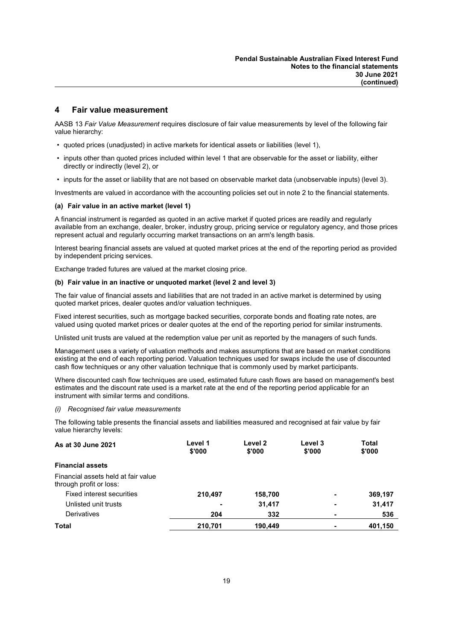### 4 Fair value measurement

AASB 13 Fair Value Measurement requires disclosure of fair value measurements by level of the following fair value hierarchy:

- quoted prices (unadjusted) in active markets for identical assets or liabilities (level 1),
- inputs other than quoted prices included within level 1 that are observable for the asset or liability, either directly or indirectly (level 2), or
- inputs for the asset or liability that are not based on observable market data (unobservable inputs) (level 3).

Investments are valued in accordance with the accounting policies set out in note 2 to the financial statements.

#### (a) Fair value in an active market (level 1)

A financial instrument is regarded as quoted in an active market if quoted prices are readily and regularly available from an exchange, dealer, broker, industry group, pricing service or regulatory agency, and those prices represent actual and regularly occurring market transactions on an arm's length basis.

Interest bearing financial assets are valued at quoted market prices at the end of the reporting period as provided by independent pricing services.

Exchange traded futures are valued at the market closing price.

### (b) Fair value in an inactive or unquoted market (level 2 and level 3)

The fair value of financial assets and liabilities that are not traded in an active market is determined by using quoted market prices, dealer quotes and/or valuation techniques.

Fixed interest securities, such as mortgage backed securities, corporate bonds and floating rate notes, are valued using quoted market prices or dealer quotes at the end of the reporting period for similar instruments.

Unlisted unit trusts are valued at the redemption value per unit as reported by the managers of such funds.

Management uses a variety of valuation methods and makes assumptions that are based on market conditions existing at the end of each reporting period. Valuation techniques used for swaps include the use of discounted cash flow techniques or any other valuation technique that is commonly used by market participants.

Where discounted cash flow techniques are used, estimated future cash flows are based on management's best estimates and the discount rate used is a market rate at the end of the reporting period applicable for an instrument with similar terms and conditions.

#### (i) Recognised fair value measurements

The following table presents the financial assets and liabilities measured and recognised at fair value by fair value hierarchy levels:

| Level 1<br>\$'000 | Level 2<br>\$'000 | Level 3<br>\$'000 | <b>Total</b><br>\$'000 |
|-------------------|-------------------|-------------------|------------------------|
|                   |                   |                   |                        |
|                   |                   |                   |                        |
| 210,497           | 158,700           | ۰                 | 369,197                |
| ۰                 | 31,417            | ۰                 | 31,417                 |
| 204               | 332               | ۰                 | 536                    |
| 210,701           | 190,449           | ۰                 | 401,150                |
|                   |                   |                   |                        |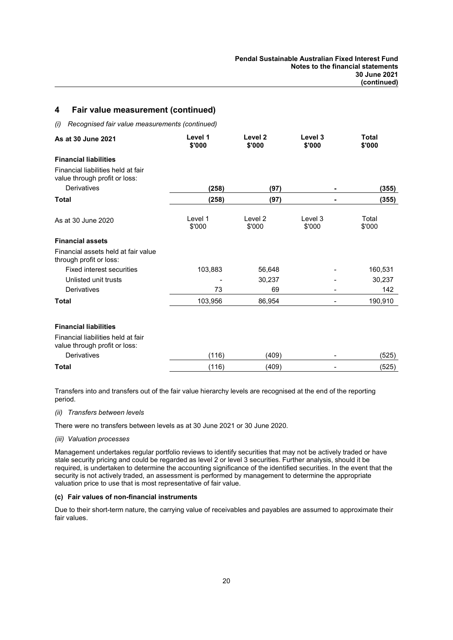### 4 Fair value measurement (continued)

(i) Recognised fair value measurements (continued)

| As at 30 June 2021                                                  | Level 1<br>\$'000 | Level 2<br>\$'000            | Level 3<br>\$'000 | <b>Total</b><br>\$'000 |
|---------------------------------------------------------------------|-------------------|------------------------------|-------------------|------------------------|
| <b>Financial liabilities</b>                                        |                   |                              |                   |                        |
| Financial liabilities held at fair<br>value through profit or loss: |                   |                              |                   |                        |
| Derivatives                                                         | (258)             | (97)                         |                   | (355)                  |
| <b>Total</b>                                                        | (258)             | (97)                         |                   | (355)                  |
| As at 30 June 2020                                                  | Level 1<br>\$'000 | Level <sub>2</sub><br>\$'000 | Level 3<br>\$'000 | Total<br>\$'000        |
| <b>Financial assets</b>                                             |                   |                              |                   |                        |
| Financial assets held at fair value<br>through profit or loss:      |                   |                              |                   |                        |
| <b>Fixed interest securities</b>                                    | 103,883           | 56,648                       |                   | 160,531                |
| Unlisted unit trusts                                                |                   | 30,237                       |                   | 30,237                 |
| Derivatives                                                         | 73                | 69                           |                   | 142                    |
| <b>Total</b>                                                        | 103,956           | 86,954                       |                   | 190,910                |
| <b>Financial liabilities</b>                                        |                   |                              |                   |                        |
| Financial liabilities held at fair<br>value through profit or loss: |                   |                              |                   |                        |
| Derivatives                                                         | (116)             | (409)                        |                   | (525)                  |
| <b>Total</b>                                                        | (116)             | (409)                        |                   | (525)                  |

Transfers into and transfers out of the fair value hierarchy levels are recognised at the end of the reporting period.

### (ii) Transfers between levels

There were no transfers between levels as at 30 June 2021 or 30 June 2020.

#### (iii) Valuation processes

Management undertakes regular portfolio reviews to identify securities that may not be actively traded or have stale security pricing and could be regarded as level 2 or level 3 securities. Further analysis, should it be required, is undertaken to determine the accounting significance of the identified securities. In the event that the security is not actively traded, an assessment is performed by management to determine the appropriate valuation price to use that is most representative of fair value.

#### (c) Fair values of non-financial instruments

Due to their short-term nature, the carrying value of receivables and payables are assumed to approximate their fair values.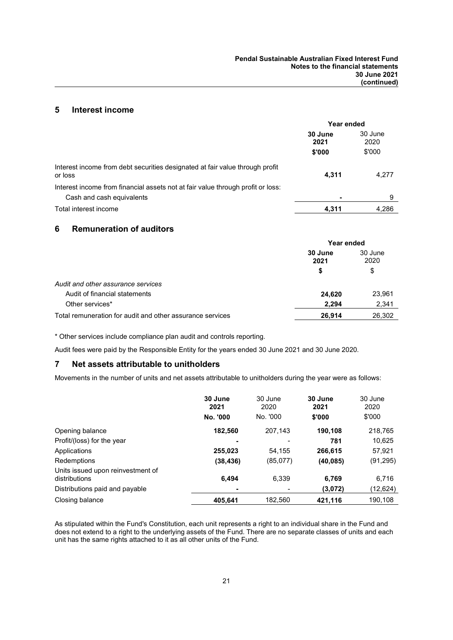### 5 Interest income

|                                                                                                              | Year ended      |                 |  |
|--------------------------------------------------------------------------------------------------------------|-----------------|-----------------|--|
|                                                                                                              | 30 June<br>2021 | 30 June<br>2020 |  |
|                                                                                                              | \$'000          | \$'000          |  |
| Interest income from debt securities designated at fair value through profit<br>or loss                      | 4,311           | 4,277           |  |
| Interest income from financial assets not at fair value through profit or loss:<br>Cash and cash equivalents |                 | 9               |  |
| Total interest income                                                                                        | 4.311           | 4.286           |  |

### 6 Remuneration of auditors

|                                                           | Year ended      |                 |  |
|-----------------------------------------------------------|-----------------|-----------------|--|
|                                                           | 30 June<br>2021 | 30 June<br>2020 |  |
|                                                           | \$              | \$              |  |
| Audit and other assurance services                        |                 |                 |  |
| Audit of financial statements                             | 24,620          | 23,961          |  |
| Other services*                                           | 2,294           | 2,341           |  |
| Total remuneration for audit and other assurance services | 26.914          | 26,302          |  |

\* Other services include compliance plan audit and controls reporting.

Audit fees were paid by the Responsible Entity for the years ended 30 June 2021 and 30 June 2020.

### 7 Net assets attributable to unitholders

Movements in the number of units and net assets attributable to unitholders during the year were as follows:

|                                                    | 30 June<br>2021 | 30 June<br>2020 | 30 June<br>2021 | 30 June<br>2020 |
|----------------------------------------------------|-----------------|-----------------|-----------------|-----------------|
|                                                    | No. '000        | No. '000        | \$'000          | \$'000          |
| Opening balance                                    | 182,560         | 207,143         | 190,108         | 218,765         |
| Profit/(loss) for the year                         | ۰               |                 | 781             | 10,625          |
| Applications                                       | 255,023         | 54,155          | 266,615         | 57,921          |
| Redemptions                                        | (38, 436)       | (85,077)        | (40, 085)       | (91,295)        |
| Units issued upon reinvestment of<br>distributions | 6.494           | 6.339           | 6,769           | 6,716           |
| Distributions paid and payable                     | ٠               |                 | (3,072)         | (12,624)        |
| Closing balance                                    | 405,641         | 182.560         | 421.116         | 190.108         |

As stipulated within the Fund's Constitution, each unit represents a right to an individual share in the Fund and does not extend to a right to the underlying assets of the Fund. There are no separate classes of units and each unit has the same rights attached to it as all other units of the Fund.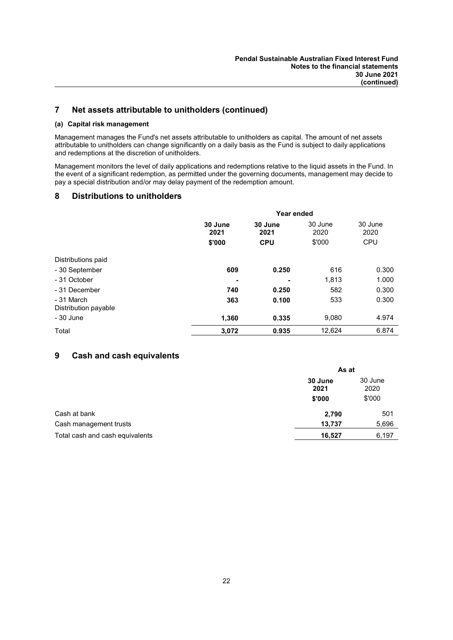### 7 Net assets attributable to unitholders (continued)

### (a) Capital risk management

Management manages the Fund's net assets attributable to unitholders as capital. The amount of net assets attributable to unitholders can change significantly on a daily basis as the Fund is subject to daily applications and redemptions at the discretion of unitholders.

Management monitors the level of daily applications and redemptions relative to the liquid assets in the Fund. In the event of a significant redemption, as permitted under the governing documents, management may decide to pay a special distribution and/or may delay payment of the redemption amount.

### 8 Distributions to unitholders

|                                    | Year ended                |                               |        |                               |  |
|------------------------------------|---------------------------|-------------------------------|--------|-------------------------------|--|
|                                    | 30 June<br>2021<br>\$'000 | 30 June<br>2021<br><b>CPU</b> |        | 30 June<br>2020<br><b>CPU</b> |  |
| Distributions paid                 |                           |                               |        |                               |  |
| - 30 September                     | 609                       | 0.250                         | 616    | 0.300                         |  |
| - 31 October                       | -                         | -                             | 1,813  | 1.000                         |  |
| - 31 December                      | 740                       | 0.250                         | 582    | 0.300                         |  |
| - 31 March<br>Distribution payable | 363                       | 0.100                         | 533    | 0.300                         |  |
| - 30 June                          | 1,360                     | 0.335                         | 9,080  | 4.974                         |  |
| Total                              | 3,072                     | 0.935                         | 12,624 | 6.874                         |  |

### 9 Cash and cash equivalents

|                                 | As at                     |                           |  |
|---------------------------------|---------------------------|---------------------------|--|
|                                 | 30 June<br>2021<br>\$'000 | 30 June<br>2020<br>\$'000 |  |
| Cash at bank                    | 2,790                     | 501                       |  |
| Cash management trusts          | 13,737                    | 5,696                     |  |
| Total cash and cash equivalents | 16,527                    | 6,197                     |  |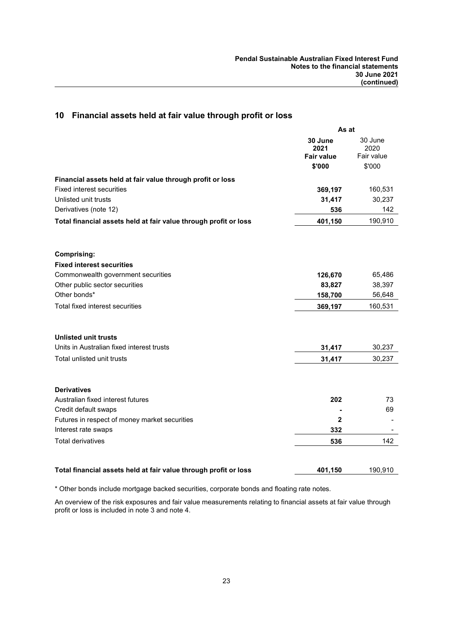|                                                                          | As at                                |                               |
|--------------------------------------------------------------------------|--------------------------------------|-------------------------------|
|                                                                          | 30 June<br>2021<br><b>Fair value</b> | 30 June<br>2020<br>Fair value |
|                                                                          | \$'000                               | \$'000                        |
| Financial assets held at fair value through profit or loss               |                                      |                               |
| <b>Fixed interest securities</b>                                         | 369,197                              | 160,531                       |
| Unlisted unit trusts                                                     | 31,417                               | 30,237                        |
| Derivatives (note 12)                                                    | 536                                  | 142                           |
| Total financial assets held at fair value through profit or loss         | 401,150                              | 190,910                       |
|                                                                          |                                      |                               |
| <b>Comprising:</b>                                                       |                                      |                               |
| <b>Fixed interest securities</b>                                         |                                      |                               |
| Commonwealth government securities                                       | 126,670                              | 65,486                        |
| Other public sector securities                                           | 83,827                               | 38,397                        |
| Other bonds*                                                             | 158,700                              | 56,648                        |
| Total fixed interest securities                                          | 369,197                              | 160,531                       |
|                                                                          |                                      |                               |
| <b>Unlisted unit trusts</b><br>Units in Australian fixed interest trusts |                                      |                               |
|                                                                          | 31,417                               | 30,237                        |
| Total unlisted unit trusts                                               | 31,417                               | 30,237                        |
| <b>Derivatives</b>                                                       |                                      |                               |
| Australian fixed interest futures                                        | 202                                  | 73                            |
| Credit default swaps                                                     |                                      | 69                            |
| Futures in respect of money market securities                            | 2                                    |                               |
| Interest rate swaps                                                      | 332                                  |                               |
| Total derivatives                                                        | 536                                  | 142                           |
|                                                                          |                                      |                               |
| Total financial assets held at fair value through profit or loss         | 401,150                              | 190,910                       |

### 10 Financial assets held at fair value through profit or loss

\* Other bonds include mortgage backed securities, corporate bonds and floating rate notes.

An overview of the risk exposures and fair value measurements relating to financial assets at fair value through profit or loss is included in note 3 and note 4.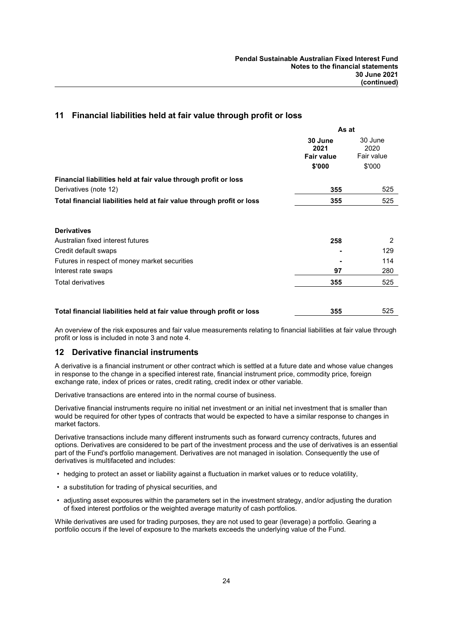### 11 Financial liabilities held at fair value through profit or loss

|                                                                       | As at                                          |                                         |
|-----------------------------------------------------------------------|------------------------------------------------|-----------------------------------------|
|                                                                       | 30 June<br>2021<br><b>Fair value</b><br>\$'000 | 30 June<br>2020<br>Fair value<br>\$'000 |
| Financial liabilities held at fair value through profit or loss       |                                                |                                         |
| Derivatives (note 12)                                                 | 355                                            | 525                                     |
| Total financial liabilities held at fair value through profit or loss | 355                                            | 525                                     |
| <b>Derivatives</b>                                                    |                                                |                                         |
| Australian fixed interest futures                                     | 258                                            | 2                                       |
| Credit default swaps                                                  |                                                | 129                                     |
| Futures in respect of money market securities                         |                                                | 114                                     |
| Interest rate swaps                                                   | 97                                             | 280                                     |
| Total derivatives                                                     | 355                                            | 525                                     |
| Total financial liabilities held at fair value through profit or loss | 355                                            | 525                                     |

An overview of the risk exposures and fair value measurements relating to financial liabilities at fair value through profit or loss is included in note 3 and note 4.

### 12 Derivative financial instruments

A derivative is a financial instrument or other contract which is settled at a future date and whose value changes in response to the change in a specified interest rate, financial instrument price, commodity price, foreign exchange rate, index of prices or rates, credit rating, credit index or other variable.

Derivative transactions are entered into in the normal course of business.

Derivative financial instruments require no initial net investment or an initial net investment that is smaller than would be required for other types of contracts that would be expected to have a similar response to changes in market factors.

Derivative transactions include many different instruments such as forward currency contracts, futures and options. Derivatives are considered to be part of the investment process and the use of derivatives is an essential part of the Fund's portfolio management. Derivatives are not managed in isolation. Consequently the use of derivatives is multifaceted and includes:

- hedging to protect an asset or liability against a fluctuation in market values or to reduce volatility,
- a substitution for trading of physical securities, and
- adjusting asset exposures within the parameters set in the investment strategy, and/or adjusting the duration of fixed interest portfolios or the weighted average maturity of cash portfolios.

While derivatives are used for trading purposes, they are not used to gear (leverage) a portfolio. Gearing a portfolio occurs if the level of exposure to the markets exceeds the underlying value of the Fund.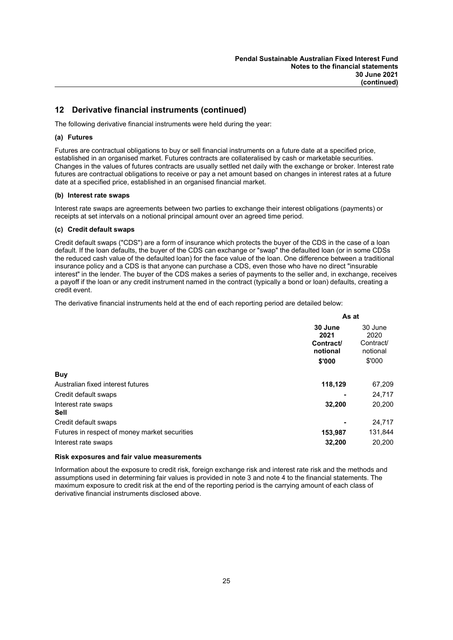### 12 Derivative financial instruments (continued)

The following derivative financial instruments were held during the year:

### (a) Futures

Futures are contractual obligations to buy or sell financial instruments on a future date at a specified price, established in an organised market. Futures contracts are collateralised by cash or marketable securities. Changes in the values of futures contracts are usually settled net daily with the exchange or broker. Interest rate futures are contractual obligations to receive or pay a net amount based on changes in interest rates at a future date at a specified price, established in an organised financial market.

### (b) Interest rate swaps

Interest rate swaps are agreements between two parties to exchange their interest obligations (payments) or receipts at set intervals on a notional principal amount over an agreed time period.

### (c) Credit default swaps

Credit default swaps ("CDS") are a form of insurance which protects the buyer of the CDS in the case of a loan default. If the loan defaults, the buyer of the CDS can exchange or "swap" the defaulted loan (or in some CDSs the reduced cash value of the defaulted loan) for the face value of the loan. One difference between a traditional insurance policy and a CDS is that anyone can purchase a CDS, even those who have no direct "insurable interest" in the lender. The buyer of the CDS makes a series of payments to the seller and, in exchange, receives a payoff if the loan or any credit instrument named in the contract (typically a bond or loan) defaults, creating a credit event.

The derivative financial instruments held at the end of each reporting period are detailed below:

|                                               | As at                                              |                                                    |
|-----------------------------------------------|----------------------------------------------------|----------------------------------------------------|
|                                               | 30 June<br>2021<br>Contract/<br>notional<br>\$'000 | 30 June<br>2020<br>Contract/<br>notional<br>\$'000 |
| <b>Buy</b>                                    |                                                    |                                                    |
| Australian fixed interest futures             | 118,129                                            | 67,209                                             |
| Credit default swaps                          |                                                    | 24,717                                             |
| Interest rate swaps<br><b>Sell</b>            | 32,200                                             | 20,200                                             |
| Credit default swaps                          |                                                    | 24,717                                             |
| Futures in respect of money market securities | 153,987                                            | 131,844                                            |
| Interest rate swaps                           | 32,200                                             | 20.200                                             |

### Risk exposures and fair value measurements

Information about the exposure to credit risk, foreign exchange risk and interest rate risk and the methods and assumptions used in determining fair values is provided in note 3 and note 4 to the financial statements. The maximum exposure to credit risk at the end of the reporting period is the carrying amount of each class of derivative financial instruments disclosed above.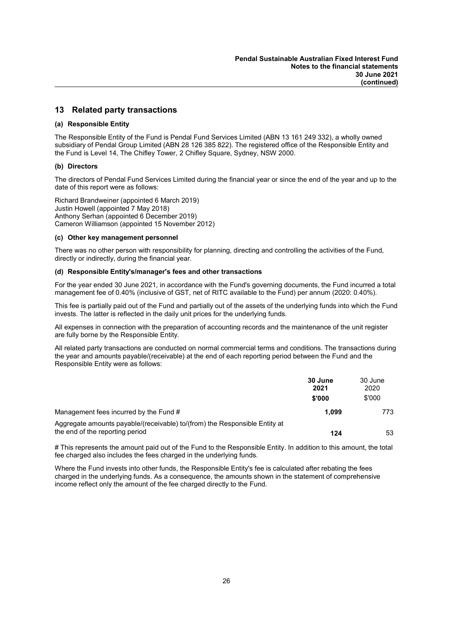### 13 Related party transactions

### (a) Responsible Entity

The Responsible Entity of the Fund is Pendal Fund Services Limited (ABN 13 161 249 332), a wholly owned subsidiary of Pendal Group Limited (ABN 28 126 385 822). The registered office of the Responsible Entity and the Fund is Level 14, The Chifley Tower, 2 Chifley Square, Sydney, NSW 2000.

### (b) Directors

The directors of Pendal Fund Services Limited during the financial year or since the end of the year and up to the date of this report were as follows:

Richard Brandweiner (appointed 6 March 2019) Justin Howell (appointed 7 May 2018) Anthony Serhan (appointed 6 December 2019) Cameron Williamson (appointed 15 November 2012)

### (c) Other key management personnel

There was no other person with responsibility for planning, directing and controlling the activities of the Fund, directly or indirectly, during the financial year.

### (d) Responsible Entity's/manager's fees and other transactions

For the year ended 30 June 2021, in accordance with the Fund's governing documents, the Fund incurred a total management fee of 0.40% (inclusive of GST, net of RITC available to the Fund) per annum (2020: 0.40%).

This fee is partially paid out of the Fund and partially out of the assets of the underlying funds into which the Fund invests. The latter is reflected in the daily unit prices for the underlying funds.

All expenses in connection with the preparation of accounting records and the maintenance of the unit register are fully borne by the Responsible Entity.

All related party transactions are conducted on normal commercial terms and conditions. The transactions during the year and amounts payable/(receivable) at the end of each reporting period between the Fund and the Responsible Entity were as follows:

|                                                                                                               | 30 June<br>2021<br>\$'000 | 30 June<br>2020<br>\$'000 |
|---------------------------------------------------------------------------------------------------------------|---------------------------|---------------------------|
| Management fees incurred by the Fund #                                                                        | 1.099                     | 773                       |
| Aggregate amounts payable/(receivable) to/(from) the Responsible Entity at<br>the end of the reporting period | 124                       | 53                        |

# This represents the amount paid out of the Fund to the Responsible Entity. In addition to this amount, the total fee charged also includes the fees charged in the underlying funds.

Where the Fund invests into other funds, the Responsible Entity's fee is calculated after rebating the fees charged in the underlying funds. As a consequence, the amounts shown in the statement of comprehensive income reflect only the amount of the fee charged directly to the Fund.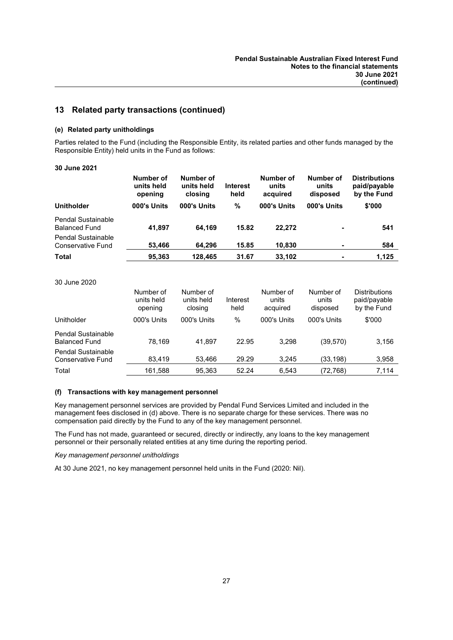### 13 Related party transactions (continued)

### (e) Related party unitholdings

Parties related to the Fund (including the Responsible Entity, its related parties and other funds managed by the Responsible Entity) held units in the Fund as follows:

### 30 June 2021

|                                            | Number of<br>units held<br>opening | Number of<br>units held<br>closing | <b>Interest</b><br>held | Number of<br>units<br>acquired | Number of<br>units<br>disposed | <b>Distributions</b><br>paid/payable<br>by the Fund |
|--------------------------------------------|------------------------------------|------------------------------------|-------------------------|--------------------------------|--------------------------------|-----------------------------------------------------|
| <b>Unitholder</b>                          | 000's Units                        | 000's Units                        | %                       | 000's Units                    | 000's Units                    | \$'000                                              |
| Pendal Sustainable<br><b>Balanced Fund</b> | 41.897                             | 64.169                             | 15.82                   | 22.272                         |                                | 541                                                 |
| Pendal Sustainable<br>Conservative Fund    | 53,466                             | 64.296                             | 15.85                   | 10.830                         | $\blacksquare$                 | 584                                                 |
| <b>Total</b>                               | 95,363                             | 128.465                            | 31.67                   | 33.102                         | $\overline{\phantom{a}}$       | 1.125                                               |

### 30 June 2020

|                                                   | Number of<br>units held<br>opening | Number of<br>units held<br>closing | Interest<br>held | Number of<br>units<br>acquired | Number of<br>units<br>disposed | <b>Distributions</b><br>paid/payable<br>by the Fund |
|---------------------------------------------------|------------------------------------|------------------------------------|------------------|--------------------------------|--------------------------------|-----------------------------------------------------|
| Unitholder                                        | 000's Units                        | 000's Units                        | %                | 000's Units                    | 000's Units                    | \$'000                                              |
| <b>Pendal Sustainable</b><br><b>Balanced Fund</b> | 78.169                             | 41.897                             | 22.95            | 3.298                          | (39, 570)                      | 3,156                                               |
| Pendal Sustainable<br>Conservative Fund           | 83.419                             | 53.466                             | 29.29            | 3.245                          | (33,198)                       | 3,958                                               |
| Total                                             | 161,588                            | 95.363                             | 52.24            | 6.543                          | (72,768)                       | 7.114                                               |

### (f) Transactions with key management personnel

Key management personnel services are provided by Pendal Fund Services Limited and included in the management fees disclosed in (d) above. There is no separate charge for these services. There was no compensation paid directly by the Fund to any of the key management personnel.

The Fund has not made, guaranteed or secured, directly or indirectly, any loans to the key management personnel or their personally related entities at any time during the reporting period.

### Key management personnel unitholdings

At 30 June 2021, no key management personnel held units in the Fund (2020: Nil).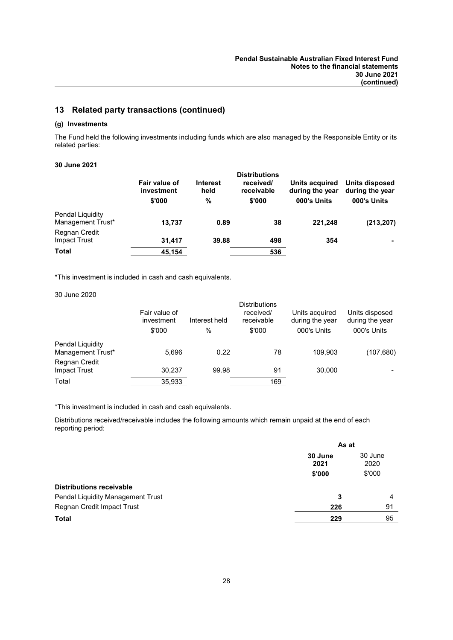### 13 Related party transactions (continued)

### (g) Investments

The Fund held the following investments including funds which are also managed by the Responsible Entity or its related parties:

### 30 June 2021

|                                       | Fair value of<br>investment<br>\$'000 | <b>Interest</b><br>held<br>% | <b>Distributions</b><br>received/<br>receivable<br>\$'000 | Units acquired<br>during the year<br>000's Units | Units disposed<br>during the year<br>000's Units |
|---------------------------------------|---------------------------------------|------------------------------|-----------------------------------------------------------|--------------------------------------------------|--------------------------------------------------|
| Pendal Liquidity<br>Management Trust* | 13,737                                | 0.89                         | 38                                                        | 221,248                                          | (213, 207)                                       |
| Regnan Credit<br>Impact Trust         | 31.417                                | 39.88                        | 498                                                       | 354                                              |                                                  |
| <b>Total</b>                          | 45,154                                |                              | 536                                                       |                                                  |                                                  |

\*This investment is included in cash and cash equivalents.

#### 30 June 2020

|                                       | Fair value of<br>investment | Interest held | <b>Distributions</b><br>received/<br>receivable | Units acquired<br>during the year | Units disposed<br>during the year |
|---------------------------------------|-----------------------------|---------------|-------------------------------------------------|-----------------------------------|-----------------------------------|
|                                       | \$'000                      | $\%$          | \$'000                                          | 000's Units                       | 000's Units                       |
| Pendal Liquidity<br>Management Trust* | 5,696                       | 0.22          | 78                                              | 109.903                           | (107, 680)                        |
| Regnan Credit<br><b>Impact Trust</b>  | 30.237                      | 99.98         | 91                                              | 30,000                            |                                   |
| Total                                 | 35,933                      |               | 169                                             |                                   |                                   |

\*This investment is included in cash and cash equivalents.

Distributions received/receivable includes the following amounts which remain unpaid at the end of each reporting period:

|                                   | As at           |                 |
|-----------------------------------|-----------------|-----------------|
|                                   | 30 June<br>2021 | 30 June<br>2020 |
|                                   | \$'000          | \$'000          |
| <b>Distributions receivable</b>   |                 |                 |
| Pendal Liquidity Management Trust | 3               | 4               |
| Regnan Credit Impact Trust        | 226             | 91              |
| <b>Total</b>                      | 229             | 95              |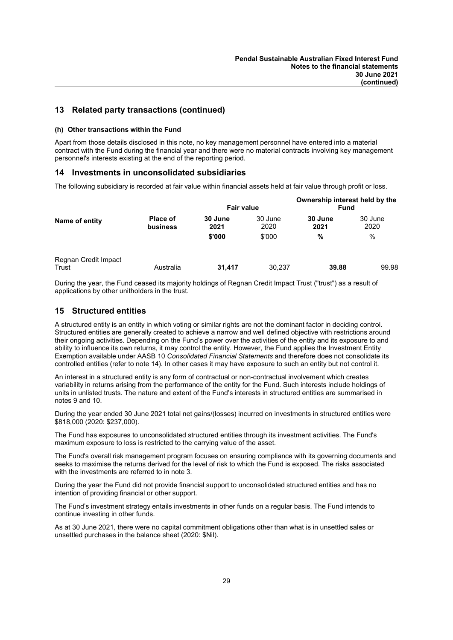### 13 Related party transactions (continued)

### (h) Other transactions within the Fund

Apart from those details disclosed in this note, no key management personnel have entered into a material contract with the Fund during the financial year and there were no material contracts involving key management personnel's interests existing at the end of the reporting period.

### 14 Investments in unconsolidated subsidiaries

The following subsidiary is recorded at fair value within financial assets held at fair value through profit or loss.

|                               |                      | <b>Fair value</b>         |                           | Ownership interest held by the<br><b>Fund</b> |                         |
|-------------------------------|----------------------|---------------------------|---------------------------|-----------------------------------------------|-------------------------|
| Name of entity                | Place of<br>business | 30 June<br>2021<br>\$'000 | 30 June<br>2020<br>\$'000 | 30 June<br>2021<br>%                          | 30 June<br>2020<br>$\%$ |
| Regnan Credit Impact<br>Trust | Australia            | 31,417                    | 30,237                    | 39.88                                         | 99.98                   |

During the year, the Fund ceased its majority holdings of Regnan Credit Impact Trust ("trust") as a result of applications by other unitholders in the trust.

### 15 Structured entities

A structured entity is an entity in which voting or similar rights are not the dominant factor in deciding control. Structured entities are generally created to achieve a narrow and well defined objective with restrictions around their ongoing activities. Depending on the Fund's power over the activities of the entity and its exposure to and ability to influence its own returns, it may control the entity. However, the Fund applies the Investment Entity Exemption available under AASB 10 Consolidated Financial Statements and therefore does not consolidate its controlled entities (refer to note 14). In other cases it may have exposure to such an entity but not control it.

An interest in a structured entity is any form of contractual or non-contractual involvement which creates variability in returns arising from the performance of the entity for the Fund. Such interests include holdings of units in unlisted trusts. The nature and extent of the Fund's interests in structured entities are summarised in notes 9 and 10.

During the year ended 30 June 2021 total net gains/(losses) incurred on investments in structured entities were \$818,000 (2020: \$237,000).

The Fund has exposures to unconsolidated structured entities through its investment activities. The Fund's maximum exposure to loss is restricted to the carrying value of the asset.

The Fund's overall risk management program focuses on ensuring compliance with its governing documents and seeks to maximise the returns derived for the level of risk to which the Fund is exposed. The risks associated with the investments are referred to in note 3.

During the year the Fund did not provide financial support to unconsolidated structured entities and has no intention of providing financial or other support.

The Fund's investment strategy entails investments in other funds on a regular basis. The Fund intends to continue investing in other funds.

As at 30 June 2021, there were no capital commitment obligations other than what is in unsettled sales or unsettled purchases in the balance sheet (2020: \$Nil).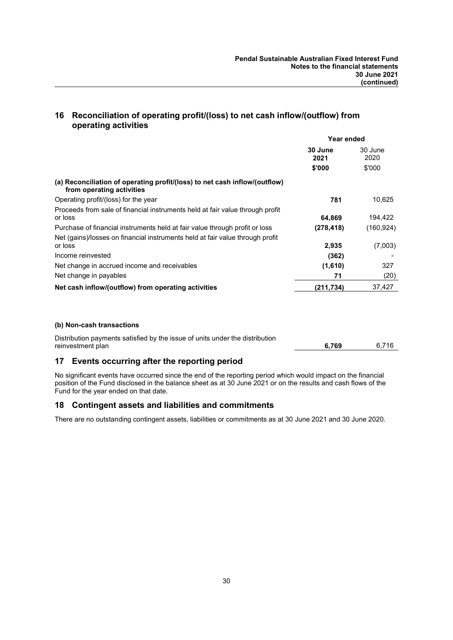### 16 Reconciliation of operating profit/(loss) to net cash inflow/(outflow) from operating activities

|                                                                                                         | Year ended      |                 |
|---------------------------------------------------------------------------------------------------------|-----------------|-----------------|
|                                                                                                         | 30 June<br>2021 | 30 June<br>2020 |
|                                                                                                         | \$'000          | \$'000          |
| (a) Reconciliation of operating profit/(loss) to net cash inflow/(outflow)<br>from operating activities |                 |                 |
| Operating profit/(loss) for the year                                                                    | 781             | 10,625          |
| Proceeds from sale of financial instruments held at fair value through profit<br>or loss                | 64,869          | 194,422         |
| Purchase of financial instruments held at fair value through profit or loss                             | (278, 418)      | (160, 924)      |
| Net (gains)/losses on financial instruments held at fair value through profit<br>or loss                | 2,935           | (7,003)         |
| Income reinvested                                                                                       | (362)           |                 |
| Net change in accrued income and receivables                                                            | (1,610)         | 327             |
| Net change in payables                                                                                  | 71              | (20)            |
| Net cash inflow/(outflow) from operating activities                                                     | (211, 734)      | 37,427          |

### (b) Non-cash transactions

| Distribution payments satisfied by the issue of units under the distribution |       |       |
|------------------------------------------------------------------------------|-------|-------|
| reinvestment plan                                                            | 6.769 | 6.716 |

### 17 Events occurring after the reporting period

No significant events have occurred since the end of the reporting period which would impact on the financial position of the Fund disclosed in the balance sheet as at 30 June 2021 or on the results and cash flows of the Fund for the year ended on that date.

### 18 Contingent assets and liabilities and commitments

There are no outstanding contingent assets, liabilities or commitments as at 30 June 2021 and 30 June 2020.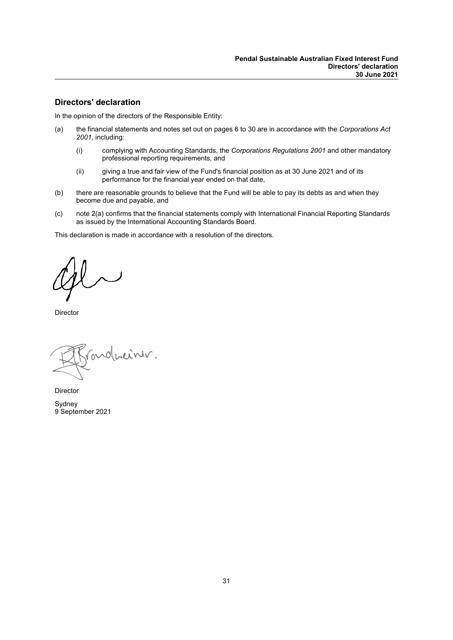### Directors' declaration

In the opinion of the directors of the Responsible Entity:

- (a) the financial statements and notes set out on pages 6 to 30 are in accordance with the Corporations Act 2001, including:
	- (i) complying with Accounting Standards, the Corporations Regulations 2001 and other mandatory professional reporting requirements, and
	- (ii) giving a true and fair view of the Fund's financial position as at 30 June 2021 and of its performance for the financial year ended on that date,
- (b) there are reasonable grounds to believe that the Fund will be able to pay its debts as and when they become due and payable, and
- (c) note 2(a) confirms that the financial statements comply with International Financial Reporting Standards as issued by the International Accounting Standards Board.

This declaration is made in accordance with a resolution of the directors.

Director

conduciner.

Director Sydney 9 September 2021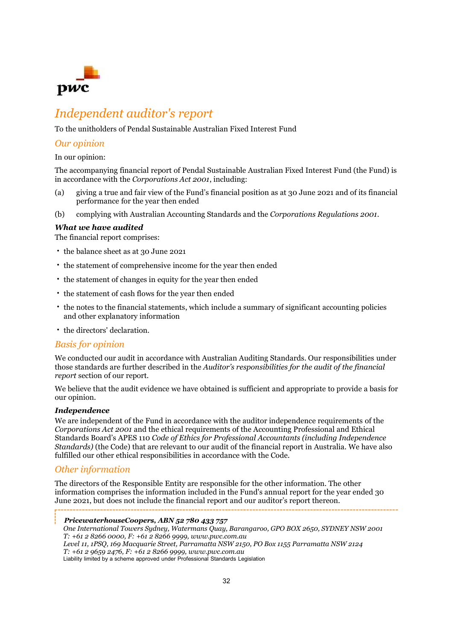

## Independent auditor's report

To the unitholders of Pendal Sustainable Australian Fixed Interest Fund

### Our opinion

### In our opinion:

The accompanying financial report of Pendal Sustainable Australian Fixed Interest Fund (the Fund) is in accordance with the Corporations Act 2001, including:

- (a) giving a true and fair view of the Fund's financial position as at 30 June 2021 and of its financial performance for the year then ended
- (b) complying with Australian Accounting Standards and the Corporations Regulations 2001.

### What we have audited

The financial report comprises:

- the balance sheet as at 30 June 2021
- the statement of comprehensive income for the year then ended
- the statement of changes in equity for the year then ended
- the statement of cash flows for the year then ended
- the notes to the financial statements, which include a summary of significant accounting policies and other explanatory information
- the directors' declaration.

### Basis for opinion

We conducted our audit in accordance with Australian Auditing Standards. Our responsibilities under those standards are further described in the Auditor's responsibilities for the audit of the financial report section of our report.

We believe that the audit evidence we have obtained is sufficient and appropriate to provide a basis for our opinion.

### Independence

We are independent of the Fund in accordance with the auditor independence requirements of the Corporations Act 2001 and the ethical requirements of the Accounting Professional and Ethical Standards Board's APES 110 Code of Ethics for Professional Accountants (including Independence Standards) (the Code) that are relevant to our audit of the financial report in Australia. We have also fulfilled our other ethical responsibilities in accordance with the Code.

### Other information

The directors of the Responsible Entity are responsible for the other information. The other information comprises the information included in the Fund's annual report for the year ended 30 June 2021, but does not include the financial report and our auditor's report thereon.

PricewaterhouseCoopers, ABN 52 780 433 757

One International Towers Sydney, Watermans Quay, Barangaroo, GPO BOX 2650, SYDNEY NSW 2001 T: +61 2 8266 0000, F: +61 2 8266 9999, www.pwc.com.au Level 11, 1PSQ, 169 Macquarie Street, Parramatta NSW 2150, PO Box 1155 Parramatta NSW 2124  $T: +61296592476, F: +61282669999, www.pwc.com.au$ 

Liability limited by a scheme approved under Professional Standards Legislation